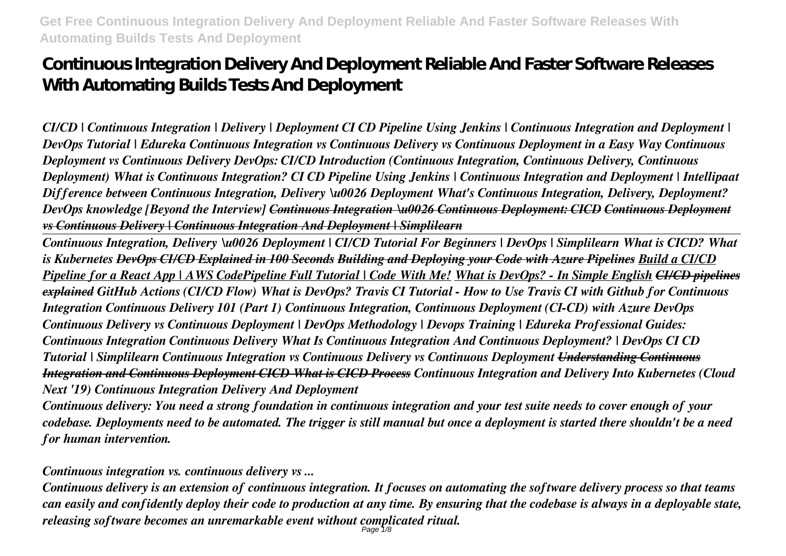# **Continuous Integration Delivery And Deployment Reliable And Faster Software Releases With Automating Builds Tests And Deployment**

*CI/CD | Continuous Integration | Delivery | Deployment CI CD Pipeline Using Jenkins | Continuous Integration and Deployment | DevOps Tutorial | Edureka Continuous Integration vs Continuous Delivery vs Continuous Deployment in a Easy Way Continuous Deployment vs Continuous Delivery DevOps: CI/CD Introduction (Continuous Integration, Continuous Delivery, Continuous Deployment) What is Continuous Integration? CI CD Pipeline Using Jenkins | Continuous Integration and Deployment | Intellipaat Difference between Continuous Integration, Delivery \u0026 Deployment What's Continuous Integration, Delivery, Deployment? DevOps knowledge [Beyond the Interview] Continuous Integration \u0026 Continuous Deployment: CICD Continuous Deployment vs Continuous Delivery | Continuous Integration And Deployment | Simplilearn*

*Continuous Integration, Delivery \u0026 Deployment | CI/CD Tutorial For Beginners | DevOps | Simplilearn What is CICD? What is Kubernetes DevOps CI/CD Explained in 100 Seconds Building and Deploying your Code with Azure Pipelines Build a CI/CD Pipeline for a React App | AWS CodePipeline Full Tutorial | Code With Me! What is DevOps? - In Simple English CI/CD pipelines explained GitHub Actions (CI/CD Flow) What is DevOps? Travis CI Tutorial - How to Use Travis CI with Github for Continuous Integration Continuous Delivery 101 (Part 1) Continuous Integration, Continuous Deployment (CI-CD) with Azure DevOps Continuous Delivery vs Continuous Deployment | DevOps Methodology | Devops Training | Edureka Professional Guides: Continuous Integration Continuous Delivery What Is Continuous Integration And Continuous Deployment? | DevOps CI CD Tutorial | Simplilearn Continuous Integration vs Continuous Delivery vs Continuous Deployment Understanding Continuous Integration and Continuous Deployment CICD What is CICD Process Continuous Integration and Delivery Into Kubernetes (Cloud Next '19) Continuous Integration Delivery And Deployment*

*Continuous delivery: You need a strong foundation in continuous integration and your test suite needs to cover enough of your codebase. Deployments need to be automated. The trigger is still manual but once a deployment is started there shouldn't be a need for human intervention.*

*Continuous integration vs. continuous delivery vs ...*

*Continuous delivery is an extension of continuous integration. It focuses on automating the software delivery process so that teams can easily and confidently deploy their code to production at any time. By ensuring that the codebase is always in a deployable state, releasing software becomes an unremarkable event without complicated ritual.* Page 1/8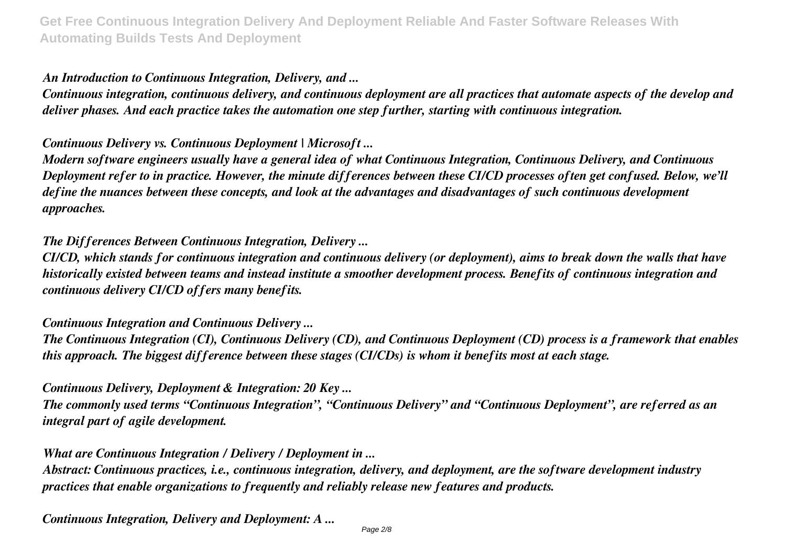# *An Introduction to Continuous Integration, Delivery, and ...*

*Continuous integration, continuous delivery, and continuous deployment are all practices that automate aspects of the develop and deliver phases. And each practice takes the automation one step further, starting with continuous integration.*

# *Continuous Delivery vs. Continuous Deployment | Microsoft ...*

*Modern software engineers usually have a general idea of what Continuous Integration, Continuous Delivery, and Continuous Deployment refer to in practice. However, the minute differences between these CI/CD processes often get confused. Below, we'll define the nuances between these concepts, and look at the advantages and disadvantages of such continuous development approaches.*

# *The Differences Between Continuous Integration, Delivery ...*

*CI/CD, which stands for continuous integration and continuous delivery (or deployment), aims to break down the walls that have historically existed between teams and instead institute a smoother development process. Benefits of continuous integration and continuous delivery CI/CD offers many benefits.*

#### *Continuous Integration and Continuous Delivery ...*

*The Continuous Integration (CI), Continuous Delivery (CD), and Continuous Deployment (CD) process is a framework that enables this approach. The biggest difference between these stages (CI/CDs) is whom it benefits most at each stage.*

#### *Continuous Delivery, Deployment & Integration: 20 Key ...*

*The commonly used terms "Continuous Integration", "Continuous Delivery" and "Continuous Deployment", are referred as an integral part of agile development.*

#### *What are Continuous Integration / Delivery / Deployment in ...*

*Abstract: Continuous practices, i.e., continuous integration, delivery, and deployment, are the software development industry practices that enable organizations to frequently and reliably release new features and products.*

*Continuous Integration, Delivery and Deployment: A ...*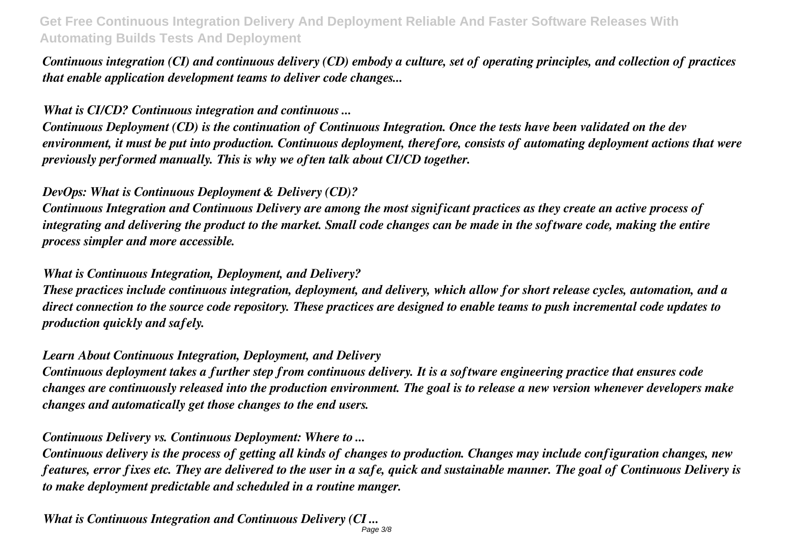*Continuous integration (CI) and continuous delivery (CD) embody a culture, set of operating principles, and collection of practices that enable application development teams to deliver code changes...*

#### *What is CI/CD? Continuous integration and continuous ...*

*Continuous Deployment (CD) is the continuation of Continuous Integration. Once the tests have been validated on the dev environment, it must be put into production. Continuous deployment, therefore, consists of automating deployment actions that were previously performed manually. This is why we often talk about CI/CD together.*

# *DevOps: What is Continuous Deployment & Delivery (CD)?*

*Continuous Integration and Continuous Delivery are among the most significant practices as they create an active process of integrating and delivering the product to the market. Small code changes can be made in the software code, making the entire process simpler and more accessible.*

# *What is Continuous Integration, Deployment, and Delivery?*

*These practices include continuous integration, deployment, and delivery, which allow for short release cycles, automation, and a direct connection to the source code repository. These practices are designed to enable teams to push incremental code updates to production quickly and safely.*

#### *Learn About Continuous Integration, Deployment, and Delivery*

*Continuous deployment takes a further step from continuous delivery. It is a software engineering practice that ensures code changes are continuously released into the production environment. The goal is to release a new version whenever developers make changes and automatically get those changes to the end users.*

#### *Continuous Delivery vs. Continuous Deployment: Where to ...*

*Continuous delivery is the process of getting all kinds of changes to production. Changes may include configuration changes, new features, error fixes etc. They are delivered to the user in a safe, quick and sustainable manner. The goal of Continuous Delivery is to make deployment predictable and scheduled in a routine manger.*

*What is Continuous Integration and Continuous Delivery (CI ...* Page 3/8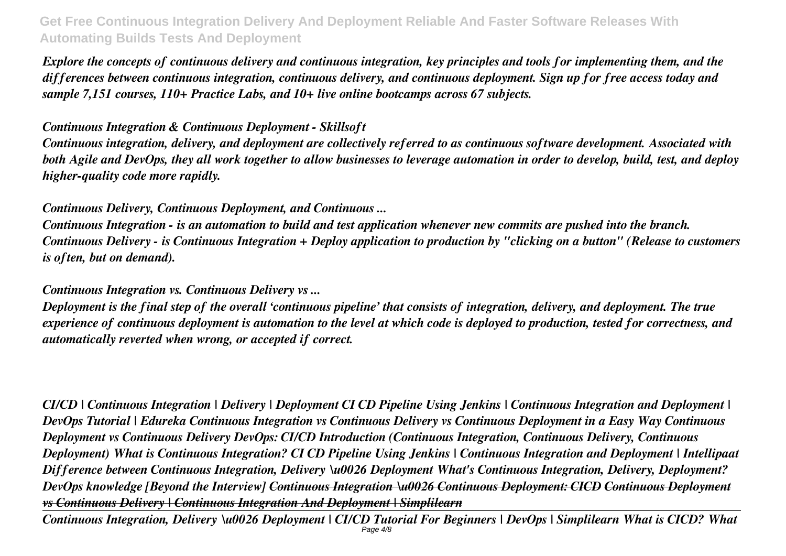*Explore the concepts of continuous delivery and continuous integration, key principles and tools for implementing them, and the differences between continuous integration, continuous delivery, and continuous deployment. Sign up for free access today and sample 7,151 courses, 110+ Practice Labs, and 10+ live online bootcamps across 67 subjects.*

#### *Continuous Integration & Continuous Deployment - Skillsoft*

*Continuous integration, delivery, and deployment are collectively referred to as continuous software development. Associated with both Agile and DevOps, they all work together to allow businesses to leverage automation in order to develop, build, test, and deploy higher-quality code more rapidly.*

# *Continuous Delivery, Continuous Deployment, and Continuous ...*

*Continuous Integration - is an automation to build and test application whenever new commits are pushed into the branch. Continuous Delivery - is Continuous Integration + Deploy application to production by "clicking on a button" (Release to customers is often, but on demand).*

#### *Continuous Integration vs. Continuous Delivery vs ...*

*Deployment is the final step of the overall 'continuous pipeline' that consists of integration, delivery, and deployment. The true experience of continuous deployment is automation to the level at which code is deployed to production, tested for correctness, and automatically reverted when wrong, or accepted if correct.*

*CI/CD | Continuous Integration | Delivery | Deployment CI CD Pipeline Using Jenkins | Continuous Integration and Deployment | DevOps Tutorial | Edureka Continuous Integration vs Continuous Delivery vs Continuous Deployment in a Easy Way Continuous Deployment vs Continuous Delivery DevOps: CI/CD Introduction (Continuous Integration, Continuous Delivery, Continuous Deployment) What is Continuous Integration? CI CD Pipeline Using Jenkins | Continuous Integration and Deployment | Intellipaat Difference between Continuous Integration, Delivery \u0026 Deployment What's Continuous Integration, Delivery, Deployment? DevOps knowledge [Beyond the Interview] Continuous Integration \u0026 Continuous Deployment: CICD Continuous Deployment vs Continuous Delivery | Continuous Integration And Deployment | Simplilearn*

*Continuous Integration, Delivery \u0026 Deployment | CI/CD Tutorial For Beginners | DevOps | Simplilearn What is CICD? What* Page 4/8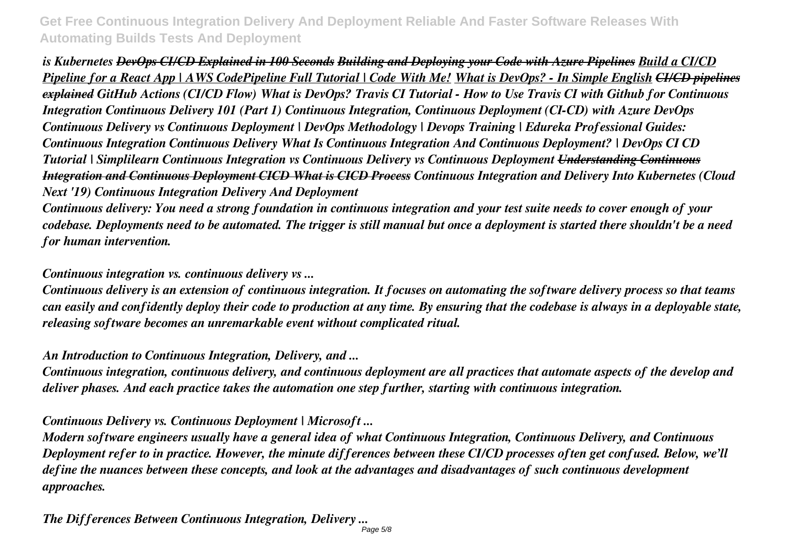*is Kubernetes DevOps CI/CD Explained in 100 Seconds Building and Deploying your Code with Azure Pipelines Build a CI/CD Pipeline for a React App | AWS CodePipeline Full Tutorial | Code With Me! What is DevOps? - In Simple English CI/CD pipelines explained GitHub Actions (CI/CD Flow) What is DevOps? Travis CI Tutorial - How to Use Travis CI with Github for Continuous Integration Continuous Delivery 101 (Part 1) Continuous Integration, Continuous Deployment (CI-CD) with Azure DevOps Continuous Delivery vs Continuous Deployment | DevOps Methodology | Devops Training | Edureka Professional Guides: Continuous Integration Continuous Delivery What Is Continuous Integration And Continuous Deployment? | DevOps CI CD Tutorial | Simplilearn Continuous Integration vs Continuous Delivery vs Continuous Deployment Understanding Continuous Integration and Continuous Deployment CICD What is CICD Process Continuous Integration and Delivery Into Kubernetes (Cloud Next '19) Continuous Integration Delivery And Deployment*

*Continuous delivery: You need a strong foundation in continuous integration and your test suite needs to cover enough of your codebase. Deployments need to be automated. The trigger is still manual but once a deployment is started there shouldn't be a need for human intervention.*

#### *Continuous integration vs. continuous delivery vs ...*

*Continuous delivery is an extension of continuous integration. It focuses on automating the software delivery process so that teams can easily and confidently deploy their code to production at any time. By ensuring that the codebase is always in a deployable state, releasing software becomes an unremarkable event without complicated ritual.*

#### *An Introduction to Continuous Integration, Delivery, and ...*

*Continuous integration, continuous delivery, and continuous deployment are all practices that automate aspects of the develop and deliver phases. And each practice takes the automation one step further, starting with continuous integration.*

#### *Continuous Delivery vs. Continuous Deployment | Microsoft ...*

*Modern software engineers usually have a general idea of what Continuous Integration, Continuous Delivery, and Continuous Deployment refer to in practice. However, the minute differences between these CI/CD processes often get confused. Below, we'll define the nuances between these concepts, and look at the advantages and disadvantages of such continuous development approaches.*

*The Differences Between Continuous Integration, Delivery ...*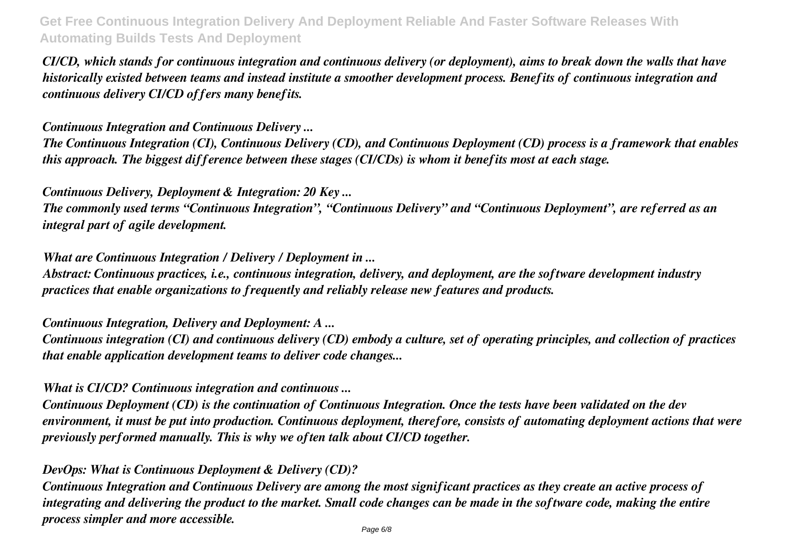*CI/CD, which stands for continuous integration and continuous delivery (or deployment), aims to break down the walls that have historically existed between teams and instead institute a smoother development process. Benefits of continuous integration and continuous delivery CI/CD offers many benefits.*

*Continuous Integration and Continuous Delivery ...*

*The Continuous Integration (CI), Continuous Delivery (CD), and Continuous Deployment (CD) process is a framework that enables this approach. The biggest difference between these stages (CI/CDs) is whom it benefits most at each stage.*

*Continuous Delivery, Deployment & Integration: 20 Key ...*

*The commonly used terms "Continuous Integration", "Continuous Delivery" and "Continuous Deployment", are referred as an integral part of agile development.*

*What are Continuous Integration / Delivery / Deployment in ...*

*Abstract: Continuous practices, i.e., continuous integration, delivery, and deployment, are the software development industry practices that enable organizations to frequently and reliably release new features and products.*

*Continuous Integration, Delivery and Deployment: A ...*

*Continuous integration (CI) and continuous delivery (CD) embody a culture, set of operating principles, and collection of practices that enable application development teams to deliver code changes...*

*What is CI/CD? Continuous integration and continuous ...*

*Continuous Deployment (CD) is the continuation of Continuous Integration. Once the tests have been validated on the dev environment, it must be put into production. Continuous deployment, therefore, consists of automating deployment actions that were previously performed manually. This is why we often talk about CI/CD together.*

# *DevOps: What is Continuous Deployment & Delivery (CD)?*

*Continuous Integration and Continuous Delivery are among the most significant practices as they create an active process of integrating and delivering the product to the market. Small code changes can be made in the software code, making the entire process simpler and more accessible.*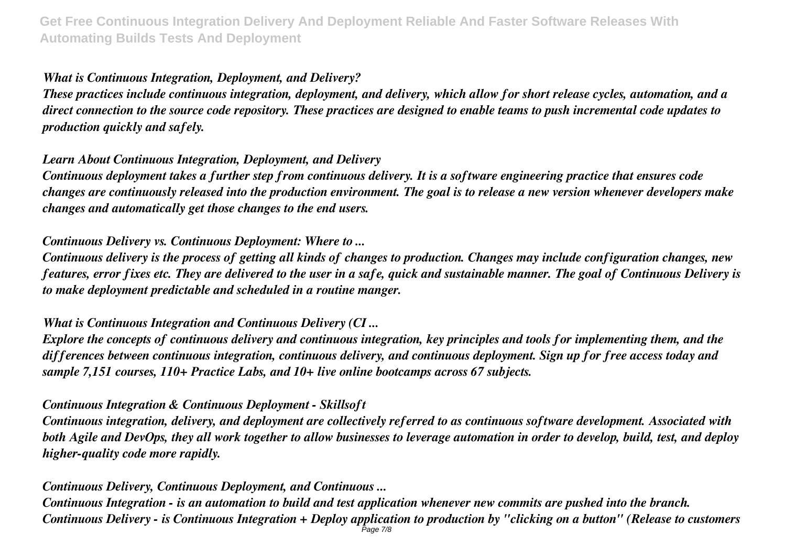# *What is Continuous Integration, Deployment, and Delivery?*

*These practices include continuous integration, deployment, and delivery, which allow for short release cycles, automation, and a direct connection to the source code repository. These practices are designed to enable teams to push incremental code updates to production quickly and safely.*

# *Learn About Continuous Integration, Deployment, and Delivery*

*Continuous deployment takes a further step from continuous delivery. It is a software engineering practice that ensures code changes are continuously released into the production environment. The goal is to release a new version whenever developers make changes and automatically get those changes to the end users.*

# *Continuous Delivery vs. Continuous Deployment: Where to ...*

*Continuous delivery is the process of getting all kinds of changes to production. Changes may include configuration changes, new features, error fixes etc. They are delivered to the user in a safe, quick and sustainable manner. The goal of Continuous Delivery is to make deployment predictable and scheduled in a routine manger.*

# *What is Continuous Integration and Continuous Delivery (CI ...*

*Explore the concepts of continuous delivery and continuous integration, key principles and tools for implementing them, and the differences between continuous integration, continuous delivery, and continuous deployment. Sign up for free access today and sample 7,151 courses, 110+ Practice Labs, and 10+ live online bootcamps across 67 subjects.*

# *Continuous Integration & Continuous Deployment - Skillsoft*

*Continuous integration, delivery, and deployment are collectively referred to as continuous software development. Associated with both Agile and DevOps, they all work together to allow businesses to leverage automation in order to develop, build, test, and deploy higher-quality code more rapidly.*

# *Continuous Delivery, Continuous Deployment, and Continuous ...*

*Continuous Integration - is an automation to build and test application whenever new commits are pushed into the branch. Continuous Delivery - is Continuous Integration + Deploy application to production by "clicking on a button" (Release to customers* Page 7/8